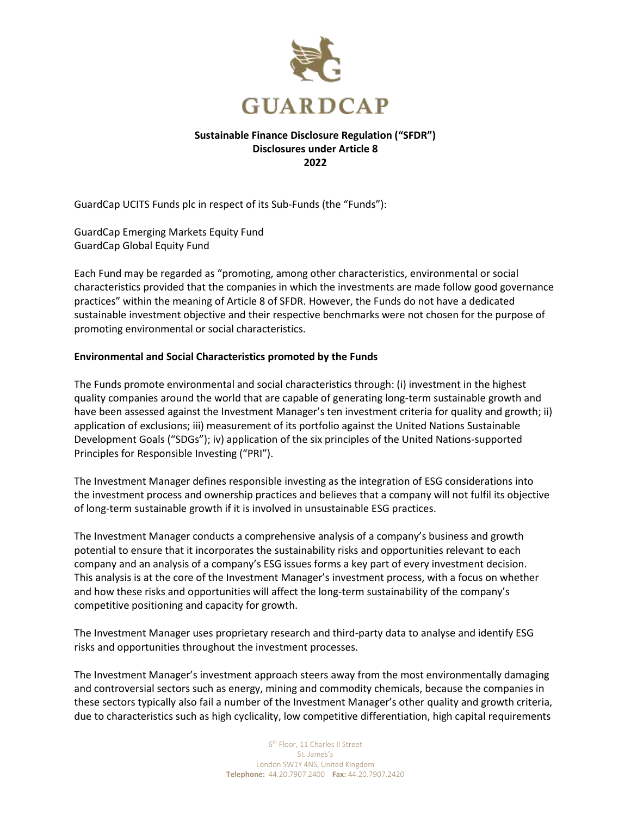

## **Sustainable Finance Disclosure Regulation ("SFDR") Disclosures under Article 8 2022**

GuardCap UCITS Funds plc in respect of its Sub-Funds (the "Funds"):

GuardCap Emerging Markets Equity Fund GuardCap Global Equity Fund

Each Fund may be regarded as "promoting, among other characteristics, environmental or social characteristics provided that the companies in which the investments are made follow good governance practices" within the meaning of Article 8 of SFDR. However, the Funds do not have a dedicated sustainable investment objective and their respective benchmarks were not chosen for the purpose of promoting environmental or social characteristics.

## **Environmental and Social Characteristics promoted by the Funds**

The Funds promote environmental and social characteristics through: (i) investment in the highest quality companies around the world that are capable of generating long-term sustainable growth and have been assessed against the Investment Manager's ten investment criteria for quality and growth; ii) application of exclusions; iii) measurement of its portfolio against the United Nations Sustainable Development Goals ("SDGs"); iv) application of the six principles of the United Nations-supported Principles for Responsible Investing ("PRI").

The Investment Manager defines responsible investing as the integration of ESG considerations into the investment process and ownership practices and believes that a company will not fulfil its objective of long-term sustainable growth if it is involved in unsustainable ESG practices.

The Investment Manager conducts a comprehensive analysis of a company's business and growth potential to ensure that it incorporates the sustainability risks and opportunities relevant to each company and an analysis of a company's ESG issues forms a key part of every investment decision. This analysis is at the core of the Investment Manager's investment process, with a focus on whether and how these risks and opportunities will affect the long-term sustainability of the company's competitive positioning and capacity for growth.

The Investment Manager uses proprietary research and third-party data to analyse and identify ESG risks and opportunities throughout the investment processes.

The Investment Manager's investment approach steers away from the most environmentally damaging and controversial sectors such as energy, mining and commodity chemicals, because the companies in these sectors typically also fail a number of the Investment Manager's other quality and growth criteria, due to characteristics such as high cyclicality, low competitive differentiation, high capital requirements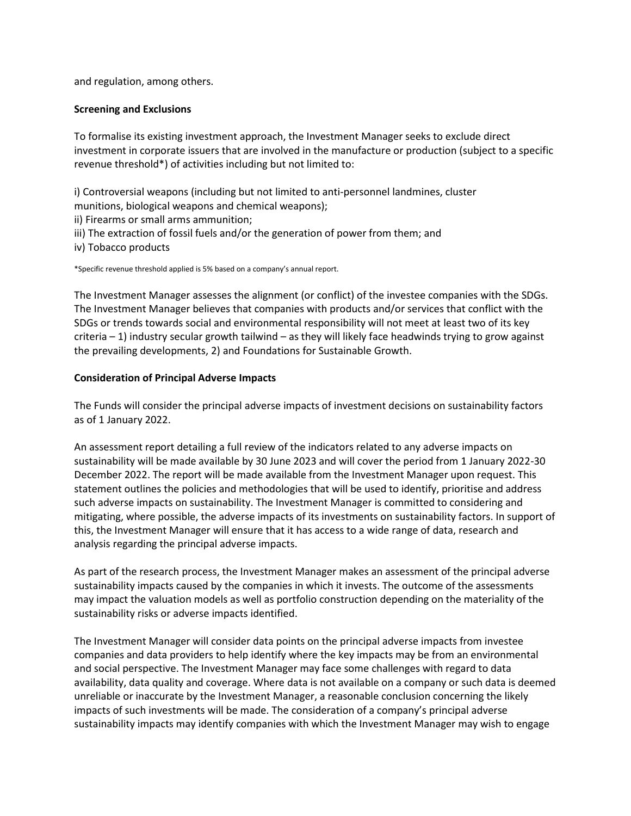and regulation, among others.

#### **Screening and Exclusions**

To formalise its existing investment approach, the Investment Manager seeks to exclude direct investment in corporate issuers that are involved in the manufacture or production (subject to a specific revenue threshold\*) of activities including but not limited to:

i) Controversial weapons (including but not limited to anti-personnel landmines, cluster munitions, biological weapons and chemical weapons);

- ii) Firearms or small arms ammunition;
- iii) The extraction of fossil fuels and/or the generation of power from them; and
- iv) Tobacco products

\*Specific revenue threshold applied is 5% based on a company's annual report.

The Investment Manager assesses the alignment (or conflict) of the investee companies with the SDGs. The Investment Manager believes that companies with products and/or services that conflict with the SDGs or trends towards social and environmental responsibility will not meet at least two of its key criteria – 1) industry secular growth tailwind – as they will likely face headwinds trying to grow against the prevailing developments, 2) and Foundations for Sustainable Growth.

#### **Consideration of Principal Adverse Impacts**

The Funds will consider the principal adverse impacts of investment decisions on sustainability factors as of 1 January 2022.

An assessment report detailing a full review of the indicators related to any adverse impacts on sustainability will be made available by 30 June 2023 and will cover the period from 1 January 2022-30 December 2022. The report will be made available from the Investment Manager upon request. This statement outlines the policies and methodologies that will be used to identify, prioritise and address such adverse impacts on sustainability. The Investment Manager is committed to considering and mitigating, where possible, the adverse impacts of its investments on sustainability factors. In support of this, the Investment Manager will ensure that it has access to a wide range of data, research and analysis regarding the principal adverse impacts.

As part of the research process, the Investment Manager makes an assessment of the principal adverse sustainability impacts caused by the companies in which it invests. The outcome of the assessments may impact the valuation models as well as portfolio construction depending on the materiality of the sustainability risks or adverse impacts identified.

The Investment Manager will consider data points on the principal adverse impacts from investee companies and data providers to help identify where the key impacts may be from an environmental and social perspective. The Investment Manager may face some challenges with regard to data availability, data quality and coverage. Where data is not available on a company or such data is deemed unreliable or inaccurate by the Investment Manager, a reasonable conclusion concerning the likely impacts of such investments will be made. The consideration of a company's principal adverse sustainability impacts may identify companies with which the Investment Manager may wish to engage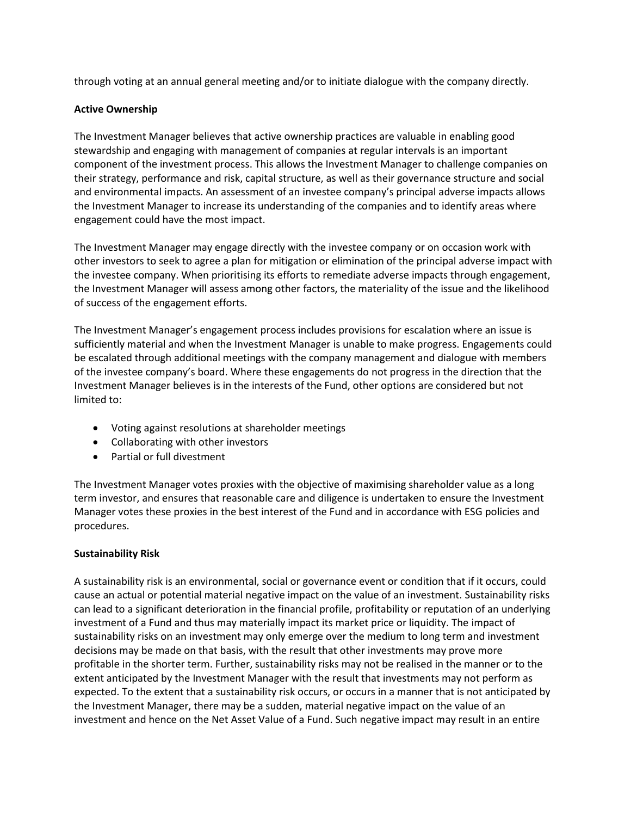through voting at an annual general meeting and/or to initiate dialogue with the company directly.

## **Active Ownership**

The Investment Manager believes that active ownership practices are valuable in enabling good stewardship and engaging with management of companies at regular intervals is an important component of the investment process. This allows the Investment Manager to challenge companies on their strategy, performance and risk, capital structure, as well as their governance structure and social and environmental impacts. An assessment of an investee company's principal adverse impacts allows the Investment Manager to increase its understanding of the companies and to identify areas where engagement could have the most impact.

The Investment Manager may engage directly with the investee company or on occasion work with other investors to seek to agree a plan for mitigation or elimination of the principal adverse impact with the investee company. When prioritising its efforts to remediate adverse impacts through engagement, the Investment Manager will assess among other factors, the materiality of the issue and the likelihood of success of the engagement efforts.

The Investment Manager's engagement process includes provisions for escalation where an issue is sufficiently material and when the Investment Manager is unable to make progress. Engagements could be escalated through additional meetings with the company management and dialogue with members of the investee company's board. Where these engagements do not progress in the direction that the Investment Manager believes is in the interests of the Fund, other options are considered but not limited to:

- Voting against resolutions at shareholder meetings
- Collaborating with other investors
- Partial or full divestment

The Investment Manager votes proxies with the objective of maximising shareholder value as a long term investor, and ensures that reasonable care and diligence is undertaken to ensure the Investment Manager votes these proxies in the best interest of the Fund and in accordance with ESG policies and procedures.

# **Sustainability Risk**

A sustainability risk is an environmental, social or governance event or condition that if it occurs, could cause an actual or potential material negative impact on the value of an investment. Sustainability risks can lead to a significant deterioration in the financial profile, profitability or reputation of an underlying investment of a Fund and thus may materially impact its market price or liquidity. The impact of sustainability risks on an investment may only emerge over the medium to long term and investment decisions may be made on that basis, with the result that other investments may prove more profitable in the shorter term. Further, sustainability risks may not be realised in the manner or to the extent anticipated by the Investment Manager with the result that investments may not perform as expected. To the extent that a sustainability risk occurs, or occurs in a manner that is not anticipated by the Investment Manager, there may be a sudden, material negative impact on the value of an investment and hence on the Net Asset Value of a Fund. Such negative impact may result in an entire